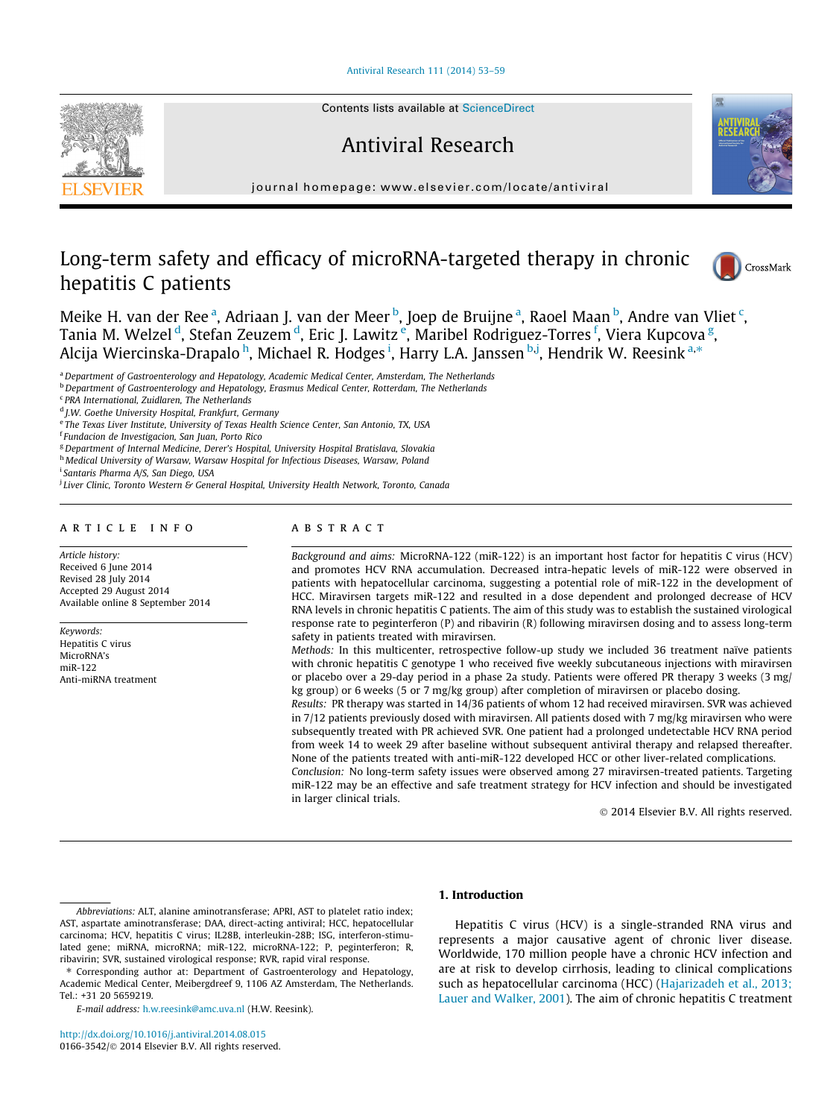#### [Antiviral Research 111 \(2014\) 53–59](http://dx.doi.org/10.1016/j.antiviral.2014.08.015)



Contents lists available at [ScienceDirect](http://www.sciencedirect.com/science/journal/01663542)

# Antiviral Research



journal homepage: [www.elsevier.com/locate/antiviral](http://www.elsevier.com/locate/antiviral)

# Long-term safety and efficacy of microRNA-targeted therapy in chronic hepatitis C patients



Meike H. van der Ree<sup>a</sup>, Adriaan J. van der Meer <sup>b</sup>, Joep de Bruijne <sup>a</sup>, Raoel Maan <sup>b</sup>, Andre van Vliet <sup>c</sup>, Tania M. Welzel <sup>d</sup>, Stefan Zeuzem <sup>d</sup>, Eric J. Lawitz <sup>e</sup>, Maribel Rodriguez-Torres <sup>f</sup>, Viera Kupcova <sup>g</sup>, Alcija Wiercinska-Drapalo <sup>h</sup>, Michael R. Hodges <sup>i</sup>, Harry L.A. Janssen <sup>b.j</sup>, Hendrik W. Reesink <sup>a,</sup>\*

a Department of Gastroenterology and Hepatology, Academic Medical Center, Amsterdam, The Netherlands

b Department of Gastroenterology and Hepatology, Erasmus Medical Center, Rotterdam, The Netherlands

<sup>c</sup> PRA International, Zuidlaren, The Netherlands

<sup>d</sup> J.W. Goethe University Hospital, Frankfurt, Germany

f Fundacion de Investigacion, San Juan, Porto Rico

<sup>g</sup> Department of Internal Medicine, Derer's Hospital, University Hospital Bratislava, Slovakia

h Medical University of Warsaw, Warsaw Hospital for Infectious Diseases, Warsaw, Poland

<sup>i</sup> Santaris Pharma A/S, San Diego, USA

<sup>j</sup> Liver Clinic, Toronto Western & General Hospital, University Health Network, Toronto, Canada

## article info

Article history: Received 6 June 2014 Revised 28 July 2014 Accepted 29 August 2014 Available online 8 September 2014

Keywords: Hepatitis C virus MicroRNA's miR-122 Anti-miRNA treatment

# ABSTRACT

Background and aims: MicroRNA-122 (miR-122) is an important host factor for hepatitis C virus (HCV) and promotes HCV RNA accumulation. Decreased intra-hepatic levels of miR-122 were observed in patients with hepatocellular carcinoma, suggesting a potential role of miR-122 in the development of HCC. Miravirsen targets miR-122 and resulted in a dose dependent and prolonged decrease of HCV RNA levels in chronic hepatitis C patients. The aim of this study was to establish the sustained virological response rate to peginterferon (P) and ribavirin (R) following miravirsen dosing and to assess long-term safety in patients treated with miravirsen.

Methods: In this multicenter, retrospective follow-up study we included 36 treatment naïve patients with chronic hepatitis C genotype 1 who received five weekly subcutaneous injections with miravirsen or placebo over a 29-day period in a phase 2a study. Patients were offered PR therapy 3 weeks (3 mg/ kg group) or 6 weeks (5 or 7 mg/kg group) after completion of miravirsen or placebo dosing.

Results: PR therapy was started in 14/36 patients of whom 12 had received miravirsen. SVR was achieved in 7/12 patients previously dosed with miravirsen. All patients dosed with 7 mg/kg miravirsen who were subsequently treated with PR achieved SVR. One patient had a prolonged undetectable HCV RNA period from week 14 to week 29 after baseline without subsequent antiviral therapy and relapsed thereafter. None of the patients treated with anti-miR-122 developed HCC or other liver-related complications.

Conclusion: No long-term safety issues were observed among 27 miravirsen-treated patients. Targeting miR-122 may be an effective and safe treatment strategy for HCV infection and should be investigated in larger clinical trials.

1. Introduction

- 2014 Elsevier B.V. All rights reserved.

E-mail address: [h.w.reesink@amc.uva.nl](mailto:h.w.reesink@amc.uva.nl) (H.W. Reesink).

Hepatitis C virus (HCV) is a single-stranded RNA virus and represents a major causative agent of chronic liver disease. Worldwide, 170 million people have a chronic HCV infection and are at risk to develop cirrhosis, leading to clinical complications such as hepatocellular carcinoma (HCC) [\(Hajarizadeh et al., 2013;](#page-5-0) [Lauer and Walker, 2001\)](#page-5-0). The aim of chronic hepatitis C treatment

e The Texas Liver Institute, University of Texas Health Science Center, San Antonio, TX, USA

Abbreviations: ALT, alanine aminotransferase; APRI, AST to platelet ratio index; AST, aspartate aminotransferase; DAA, direct-acting antiviral; HCC, hepatocellular carcinoma; HCV, hepatitis C virus; IL28B, interleukin-28B; ISG, interferon-stimulated gene; miRNA, microRNA; miR-122, microRNA-122; P, peginterferon; R, ribavirin; SVR, sustained virological response; RVR, rapid viral response.

<sup>⇑</sup> Corresponding author at: Department of Gastroenterology and Hepatology, Academic Medical Center, Meibergdreef 9, 1106 AZ Amsterdam, The Netherlands. Tel.: +31 20 5659219.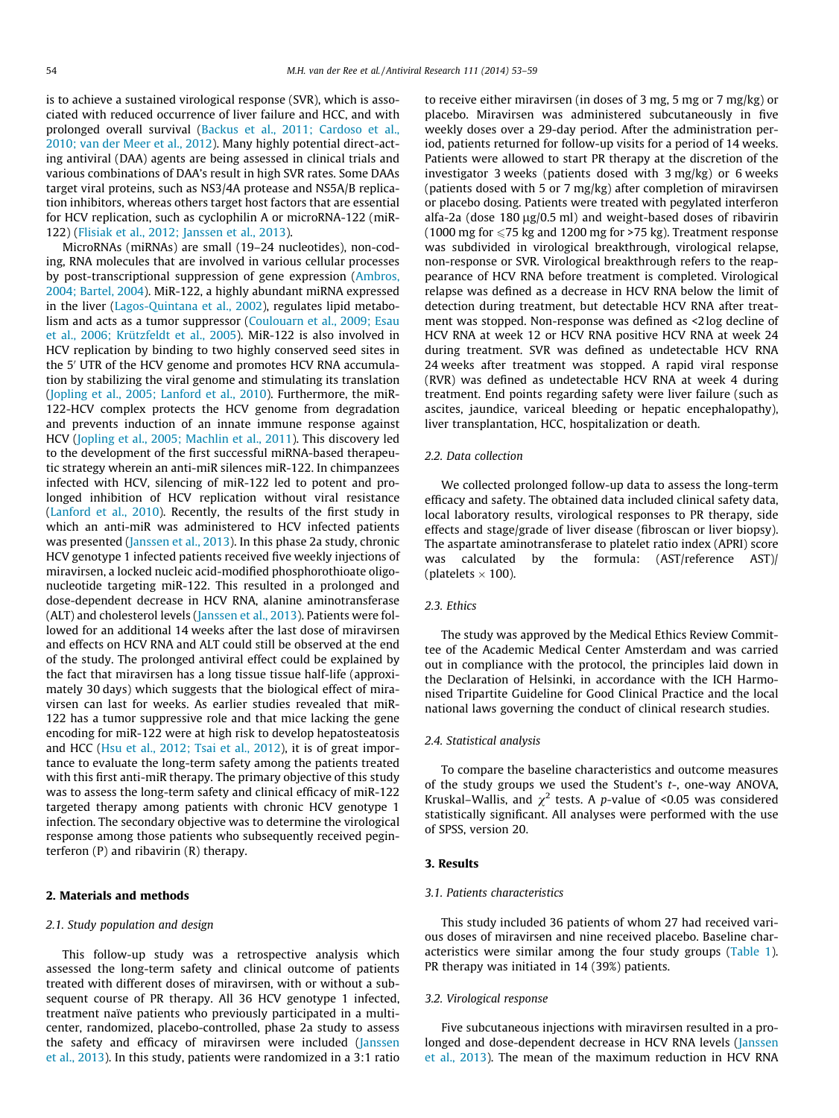is to achieve a sustained virological response (SVR), which is associated with reduced occurrence of liver failure and HCC, and with prolonged overall survival [\(Backus et al., 2011; Cardoso et al.,](#page-5-0) [2010; van der Meer et al., 2012\)](#page-5-0). Many highly potential direct-acting antiviral (DAA) agents are being assessed in clinical trials and various combinations of DAA's result in high SVR rates. Some DAAs target viral proteins, such as NS3/4A protease and NS5A/B replication inhibitors, whereas others target host factors that are essential for HCV replication, such as cyclophilin A or microRNA-122 (miR-122) ([Flisiak et al., 2012; Janssen et al., 2013](#page-5-0)).

MicroRNAs (miRNAs) are small (19–24 nucleotides), non-coding, RNA molecules that are involved in various cellular processes by post-transcriptional suppression of gene expression ([Ambros,](#page-5-0) [2004; Bartel, 2004](#page-5-0)). MiR-122, a highly abundant miRNA expressed in the liver [\(Lagos-Quintana et al., 2002](#page-5-0)), regulates lipid metabolism and acts as a tumor suppressor ([Coulouarn et al., 2009; Esau](#page-5-0) [et al., 2006; Krützfeldt et al., 2005\)](#page-5-0). MiR-122 is also involved in HCV replication by binding to two highly conserved seed sites in the 5' UTR of the HCV genome and promotes HCV RNA accumulation by stabilizing the viral genome and stimulating its translation ([Jopling et al., 2005; Lanford et al., 2010](#page-5-0)). Furthermore, the miR-122-HCV complex protects the HCV genome from degradation and prevents induction of an innate immune response against HCV ([Jopling et al., 2005; Machlin et al., 2011](#page-5-0)). This discovery led to the development of the first successful miRNA-based therapeutic strategy wherein an anti-miR silences miR-122. In chimpanzees infected with HCV, silencing of miR-122 led to potent and prolonged inhibition of HCV replication without viral resistance ([Lanford et al., 2010\)](#page-5-0). Recently, the results of the first study in which an anti-miR was administered to HCV infected patients was presented [\(Janssen et al., 2013](#page-5-0)). In this phase 2a study, chronic HCV genotype 1 infected patients received five weekly injections of miravirsen, a locked nucleic acid-modified phosphorothioate oligonucleotide targeting miR-122. This resulted in a prolonged and dose-dependent decrease in HCV RNA, alanine aminotransferase (ALT) and cholesterol levels [\(Janssen et al., 2013](#page-5-0)). Patients were followed for an additional 14 weeks after the last dose of miravirsen and effects on HCV RNA and ALT could still be observed at the end of the study. The prolonged antiviral effect could be explained by the fact that miravirsen has a long tissue tissue half-life (approximately 30 days) which suggests that the biological effect of miravirsen can last for weeks. As earlier studies revealed that miR-122 has a tumor suppressive role and that mice lacking the gene encoding for miR-122 were at high risk to develop hepatosteatosis and HCC ([Hsu et al., 2012; Tsai et al., 2012](#page-5-0)), it is of great importance to evaluate the long-term safety among the patients treated with this first anti-miR therapy. The primary objective of this study was to assess the long-term safety and clinical efficacy of miR-122 targeted therapy among patients with chronic HCV genotype 1 infection. The secondary objective was to determine the virological response among those patients who subsequently received peginterferon (P) and ribavirin (R) therapy.

## 2. Materials and methods

#### 2.1. Study population and design

This follow-up study was a retrospective analysis which assessed the long-term safety and clinical outcome of patients treated with different doses of miravirsen, with or without a subsequent course of PR therapy. All 36 HCV genotype 1 infected, treatment naïve patients who previously participated in a multicenter, randomized, placebo-controlled, phase 2a study to assess the safety and efficacy of miravirsen were included ([Janssen](#page-5-0) [et al., 2013](#page-5-0)). In this study, patients were randomized in a 3:1 ratio to receive either miravirsen (in doses of 3 mg, 5 mg or 7 mg/kg) or placebo. Miravirsen was administered subcutaneously in five weekly doses over a 29-day period. After the administration period, patients returned for follow-up visits for a period of 14 weeks. Patients were allowed to start PR therapy at the discretion of the investigator 3 weeks (patients dosed with 3 mg/kg) or 6 weeks (patients dosed with 5 or 7 mg/kg) after completion of miravirsen or placebo dosing. Patients were treated with pegylated interferon alfa-2a (dose  $180 \mu g/0.5$  ml) and weight-based doses of ribavirin (1000 mg for  $\leq$ 75 kg and 1200 mg for >75 kg). Treatment response was subdivided in virological breakthrough, virological relapse, non-response or SVR. Virological breakthrough refers to the reappearance of HCV RNA before treatment is completed. Virological relapse was defined as a decrease in HCV RNA below the limit of detection during treatment, but detectable HCV RNA after treatment was stopped. Non-response was defined as <2 log decline of HCV RNA at week 12 or HCV RNA positive HCV RNA at week 24 during treatment. SVR was defined as undetectable HCV RNA 24 weeks after treatment was stopped. A rapid viral response (RVR) was defined as undetectable HCV RNA at week 4 during treatment. End points regarding safety were liver failure (such as ascites, jaundice, variceal bleeding or hepatic encephalopathy), liver transplantation, HCC, hospitalization or death.

#### 2.2. Data collection

We collected prolonged follow-up data to assess the long-term efficacy and safety. The obtained data included clinical safety data, local laboratory results, virological responses to PR therapy, side effects and stage/grade of liver disease (fibroscan or liver biopsy). The aspartate aminotransferase to platelet ratio index (APRI) score was calculated by the formula: (AST/reference AST)/ (platelets  $\times$  100).

## 2.3. Ethics

The study was approved by the Medical Ethics Review Committee of the Academic Medical Center Amsterdam and was carried out in compliance with the protocol, the principles laid down in the Declaration of Helsinki, in accordance with the ICH Harmonised Tripartite Guideline for Good Clinical Practice and the local national laws governing the conduct of clinical research studies.

## 2.4. Statistical analysis

To compare the baseline characteristics and outcome measures of the study groups we used the Student's  $t$ -, one-way ANOVA, Kruskal–Wallis, and  $\chi^2$  tests. A p-value of <0.05 was considered statistically significant. All analyses were performed with the use of SPSS, version 20.

#### 3. Results

#### 3.1. Patients characteristics

This study included 36 patients of whom 27 had received various doses of miravirsen and nine received placebo. Baseline characteristics were similar among the four study groups ([Table 1\)](#page-2-0). PR therapy was initiated in 14 (39%) patients.

## 3.2. Virological response

Five subcutaneous injections with miravirsen resulted in a pro-longed and dose-dependent decrease in HCV RNA levels ([Janssen](#page-5-0) [et al., 2013\)](#page-5-0). The mean of the maximum reduction in HCV RNA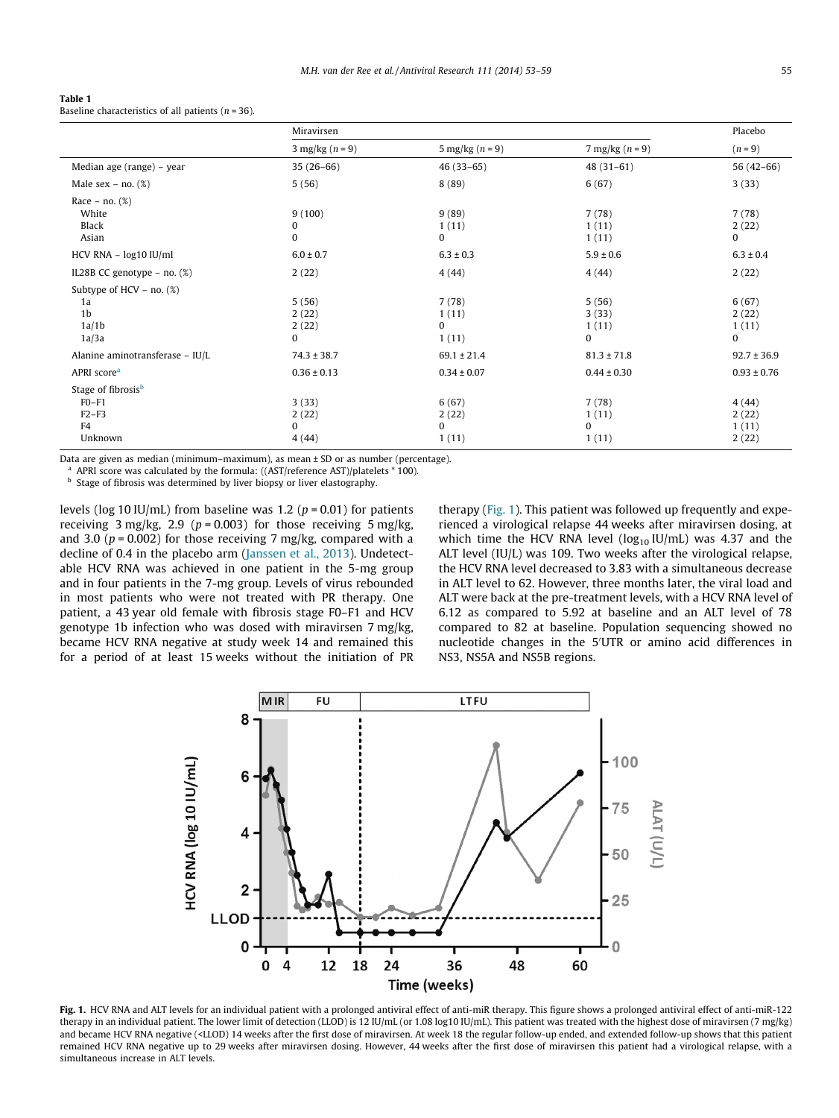<span id="page-2-0"></span>

| <b>Table 1</b>                                         |  |
|--------------------------------------------------------|--|
| Baseline characteristics of all patients ( $n = 36$ ). |  |

|                                                                                   | Miravirsen                          | Placebo                                 |                                         |                                     |
|-----------------------------------------------------------------------------------|-------------------------------------|-----------------------------------------|-----------------------------------------|-------------------------------------|
|                                                                                   | 3 mg/kg $(n = 9)$                   | 5 mg/kg $(n = 9)$                       | 7 mg/kg $(n = 9)$                       | $(n = 9)$                           |
| Median age (range) - year                                                         | $35(26-66)$                         | $46(33-65)$                             | $48(31-61)$                             | $56(42-66)$                         |
| Male sex $-$ no. $(\%)$                                                           | 5(56)                               | 8(89)                                   | 6(67)                                   | 3(33)                               |
| $Race - no.$ (%)<br>White<br>Black<br>Asian                                       | 9(100)<br>0<br>$\bf{0}$             | 9(89)<br>1(11)<br>0                     | 7(78)<br>1(11)<br>1(11)                 | 7(78)<br>2(22)<br>0                 |
| HCV RNA - log10 IU/ml                                                             | $6.0 \pm 0.7$                       | $6.3 \pm 0.3$                           | $5.9 \pm 0.6$                           | $6.3 \pm 0.4$                       |
| IL28B CC genotype $-$ no. $(\%)$                                                  | 2(22)                               | 4(44)                                   | 4(44)                                   | 2(22)                               |
| Subtype of HCV – no. $(\%)$<br>1a<br>1 <sub>b</sub><br>1a/1b<br>1a/3a             | 5(56)<br>2(22)<br>2(22)<br>$\Omega$ | 7(78)<br>1(11)<br>$\mathbf{0}$<br>1(11) | 5(56)<br>3(33)<br>1(11)<br>$\mathbf{0}$ | 6(67)<br>2(22)<br>1(11)<br>$\bf{0}$ |
| Alanine aminotransferase - IU/L                                                   | $74.3 \pm 38.7$                     | $69.1 \pm 21.4$                         | $81.3 \pm 71.8$                         | $92.7 \pm 36.9$                     |
| APRI score <sup>a</sup>                                                           | $0.36 \pm 0.13$                     | $0.34 \pm 0.07$                         | $0.44 \pm 0.30$                         | $0.93 \pm 0.76$                     |
| Stage of fibrosis <sup>b</sup><br>$F0-F1$<br>$F2-F3$<br>F <sub>4</sub><br>Unknown | 3(33)<br>2(22)<br>$\Omega$<br>4(44) | 6(67)<br>2(22)<br>$\Omega$<br>1(11)     | 7(78)<br>1(11)<br>$\Omega$<br>1(11)     | 4(44)<br>2(22)<br>1(11)<br>2(22)    |

Data are given as median (minimum–maximum), as mean ± SD or as number (percentage).

APRI score was calculated by the formula: ((AST/reference AST)/platelets \* 100).

Stage of fibrosis was determined by liver biopsy or liver elastography.

levels (log 10 IU/mL) from baseline was 1.2 ( $p = 0.01$ ) for patients receiving 3 mg/kg, 2.9 ( $p = 0.003$ ) for those receiving 5 mg/kg, and 3.0 ( $p = 0.002$ ) for those receiving 7 mg/kg, compared with a decline of 0.4 in the placebo arm ([Janssen et al., 2013](#page-5-0)). Undetectable HCV RNA was achieved in one patient in the 5-mg group and in four patients in the 7-mg group. Levels of virus rebounded in most patients who were not treated with PR therapy. One patient, a 43 year old female with fibrosis stage F0–F1 and HCV genotype 1b infection who was dosed with miravirsen 7 mg/kg, became HCV RNA negative at study week 14 and remained this for a period of at least 15 weeks without the initiation of PR therapy (Fig. 1). This patient was followed up frequently and experienced a virological relapse 44 weeks after miravirsen dosing, at which time the HCV RNA level ( $log_{10}$  IU/mL) was 4.37 and the ALT level (IU/L) was 109. Two weeks after the virological relapse, the HCV RNA level decreased to 3.83 with a simultaneous decrease in ALT level to 62. However, three months later, the viral load and ALT were back at the pre-treatment levels, with a HCV RNA level of 6.12 as compared to 5.92 at baseline and an ALT level of 78 compared to 82 at baseline. Population sequencing showed no nucleotide changes in the 5'UTR or amino acid differences in NS3, NS5A and NS5B regions.



Fig. 1. HCV RNA and ALT levels for an individual patient with a prolonged antiviral effect of anti-miR therapy. This figure shows a prolonged antiviral effect of anti-miR-122 therapy in an individual patient. The lower limit of detection (LLOD) is 12 IU/mL (or 1.08 log10 IU/mL). This patient was treated with the highest dose of miravirsen (7 mg/kg) and became HCV RNA negative (<LLOD) 14 weeks after the first dose of miravirsen. At week 18 the regular follow-up ended, and extended follow-up shows that this patient remained HCV RNA negative up to 29 weeks after miravirsen dosing. However, 44 weeks after the first dose of miravirsen this patient had a virological relapse, with a simultaneous increase in ALT levels.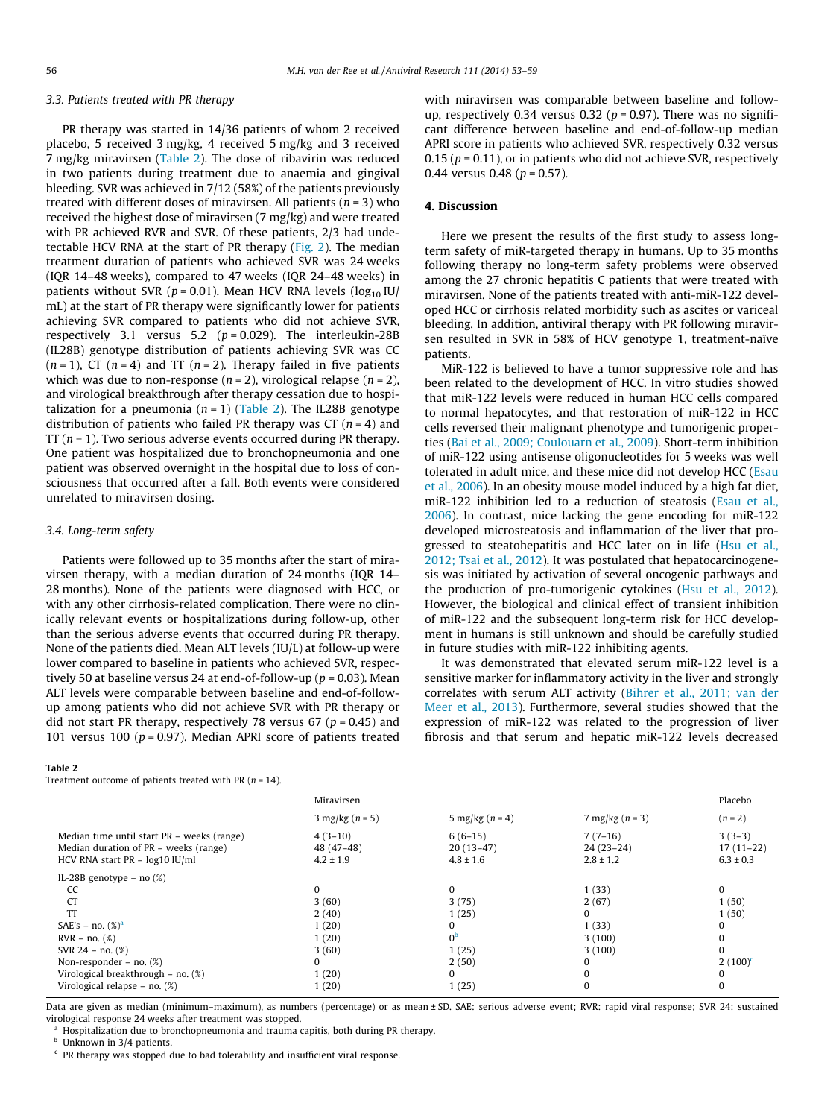#### 3.3. Patients treated with PR therapy

PR therapy was started in 14/36 patients of whom 2 received placebo, 5 received 3 mg/kg, 4 received 5 mg/kg and 3 received 7 mg/kg miravirsen (Table 2). The dose of ribavirin was reduced in two patients during treatment due to anaemia and gingival bleeding. SVR was achieved in 7/12 (58%) of the patients previously treated with different doses of miravirsen. All patients ( $n = 3$ ) who received the highest dose of miravirsen (7 mg/kg) and were treated with PR achieved RVR and SVR. Of these patients, 2/3 had undetectable HCV RNA at the start of PR therapy ([Fig. 2\)](#page-4-0). The median treatment duration of patients who achieved SVR was 24 weeks (IQR 14–48 weeks), compared to 47 weeks (IQR 24–48 weeks) in patients without SVR ( $p = 0.01$ ). Mean HCV RNA levels ( $log_{10}$  IU/ mL) at the start of PR therapy were significantly lower for patients achieving SVR compared to patients who did not achieve SVR, respectively 3.1 versus 5.2 ( $p = 0.029$ ). The interleukin-28B (IL28B) genotype distribution of patients achieving SVR was CC  $(n = 1)$ , CT  $(n = 4)$  and TT  $(n = 2)$ . Therapy failed in five patients which was due to non-response ( $n = 2$ ), virological relapse ( $n = 2$ ), and virological breakthrough after therapy cessation due to hospitalization for a pneumonia ( $n = 1$ ) (Table 2). The IL28B genotype distribution of patients who failed PR therapy was  $CT (n = 4)$  and TT  $(n = 1)$ . Two serious adverse events occurred during PR therapy. One patient was hospitalized due to bronchopneumonia and one patient was observed overnight in the hospital due to loss of consciousness that occurred after a fall. Both events were considered unrelated to miravirsen dosing.

## 3.4. Long-term safety

Patients were followed up to 35 months after the start of miravirsen therapy, with a median duration of 24 months (IQR 14– 28 months). None of the patients were diagnosed with HCC, or with any other cirrhosis-related complication. There were no clinically relevant events or hospitalizations during follow-up, other than the serious adverse events that occurred during PR therapy. None of the patients died. Mean ALT levels (IU/L) at follow-up were lower compared to baseline in patients who achieved SVR, respectively 50 at baseline versus 24 at end-of-follow-up ( $p = 0.03$ ). Mean ALT levels were comparable between baseline and end-of-followup among patients who did not achieve SVR with PR therapy or did not start PR therapy, respectively 78 versus 67 ( $p = 0.45$ ) and 101 versus 100 ( $p = 0.97$ ). Median APRI score of patients treated

#### Table 2

Treatment outcome of patients treated with PR ( $n = 14$ ).

with miravirsen was comparable between baseline and followup, respectively 0.34 versus 0.32 ( $p = 0.97$ ). There was no significant difference between baseline and end-of-follow-up median APRI score in patients who achieved SVR, respectively 0.32 versus 0.15 ( $p = 0.11$ ), or in patients who did not achieve SVR, respectively 0.44 versus 0.48 ( $p = 0.57$ ).

## 4. Discussion

Here we present the results of the first study to assess longterm safety of miR-targeted therapy in humans. Up to 35 months following therapy no long-term safety problems were observed among the 27 chronic hepatitis C patients that were treated with miravirsen. None of the patients treated with anti-miR-122 developed HCC or cirrhosis related morbidity such as ascites or variceal bleeding. In addition, antiviral therapy with PR following miravirsen resulted in SVR in 58% of HCV genotype 1, treatment-naïve patients.

MiR-122 is believed to have a tumor suppressive role and has been related to the development of HCC. In vitro studies showed that miR-122 levels were reduced in human HCC cells compared to normal hepatocytes, and that restoration of miR-122 in HCC cells reversed their malignant phenotype and tumorigenic properties ([Bai et al., 2009; Coulouarn et al., 2009](#page-5-0)). Short-term inhibition of miR-122 using antisense oligonucleotides for 5 weeks was well tolerated in adult mice, and these mice did not develop HCC [\(Esau](#page-5-0) [et al., 2006\)](#page-5-0). In an obesity mouse model induced by a high fat diet, miR-122 inhibition led to a reduction of steatosis ([Esau et al.,](#page-5-0) [2006\)](#page-5-0). In contrast, mice lacking the gene encoding for miR-122 developed microsteatosis and inflammation of the liver that pro-gressed to steatohepatitis and HCC later on in life ([Hsu et al.,](#page-5-0) [2012; Tsai et al., 2012](#page-5-0)). It was postulated that hepatocarcinogenesis was initiated by activation of several oncogenic pathways and the production of pro-tumorigenic cytokines [\(Hsu et al., 2012\)](#page-5-0). However, the biological and clinical effect of transient inhibition of miR-122 and the subsequent long-term risk for HCC development in humans is still unknown and should be carefully studied in future studies with miR-122 inhibiting agents.

It was demonstrated that elevated serum miR-122 level is a sensitive marker for inflammatory activity in the liver and strongly correlates with serum ALT activity [\(Bihrer et al., 2011; van der](#page-5-0) [Meer et al., 2013\)](#page-5-0). Furthermore, several studies showed that the expression of miR-122 was related to the progression of liver fibrosis and that serum and hepatic miR-122 levels decreased

|                                            | Miravirsen        |                   |                   | Placebo       |
|--------------------------------------------|-------------------|-------------------|-------------------|---------------|
|                                            | 3 mg/kg $(n = 5)$ | 5 mg/kg $(n = 4)$ | 7 mg/kg $(n = 3)$ | $(n = 2)$     |
| Median time until start PR - weeks (range) | $4(3-10)$         | $6(6-15)$         | $7(7-16)$         | $3(3-3)$      |
| Median duration of PR - weeks (range)      | $48(47-48)$       | $20(13-47)$       | $24(23-24)$       | $17(11-22)$   |
| HCV RNA start PR - log10 IU/ml             | $4.2 \pm 1.9$     | $4.8 \pm 1.6$     | $2.8 \pm 1.2$     | $6.3 \pm 0.3$ |
| IL-28B genotype $-$ no $(\%)$              |                   |                   |                   |               |
| <sub>CC</sub>                              | $\Omega$          | $\Omega$          | 1(33)             | $\Omega$      |
| <b>CT</b>                                  | 3(60)             | 3(75)             | 2(67)             | 1(50)         |
| <b>TT</b>                                  | 2(40)             | 1(25)             |                   | 1(50)         |
| SAE's - no. $({\%)}^a$                     | 1(20)             | 0                 | 1(33)             |               |
| $RVR - no.$ (%)                            | 1(20)             | 0 <sup>b</sup>    | 3(100)            |               |
| SVR 24 - no. $(\%)$                        | 3(60)             | 1(25)             | 3(100)            |               |
| Non-responder – no. $(\%)$                 | 0                 | 2(50)             |                   | $(100)^c$     |
| Virological breakthrough – no. (%)         | 1(20)             | $\Omega$          |                   |               |
| Virological relapse - no. $(\%)$           | 1(20)             | 1(25)             |                   | 0             |

Data are given as median (minimum–maximum), as numbers (percentage) or as mean ± SD. SAE: serious adverse event; RVR: rapid viral response; SVR 24: sustained virological response 24 weeks after treatment was stopped.

<sup>a</sup> Hospitalization due to bronchopneumonia and trauma capitis, both during PR therapy.

**b** Unknown in 3/4 patients.

<sup>c</sup> PR therapy was stopped due to bad tolerability and insufficient viral response.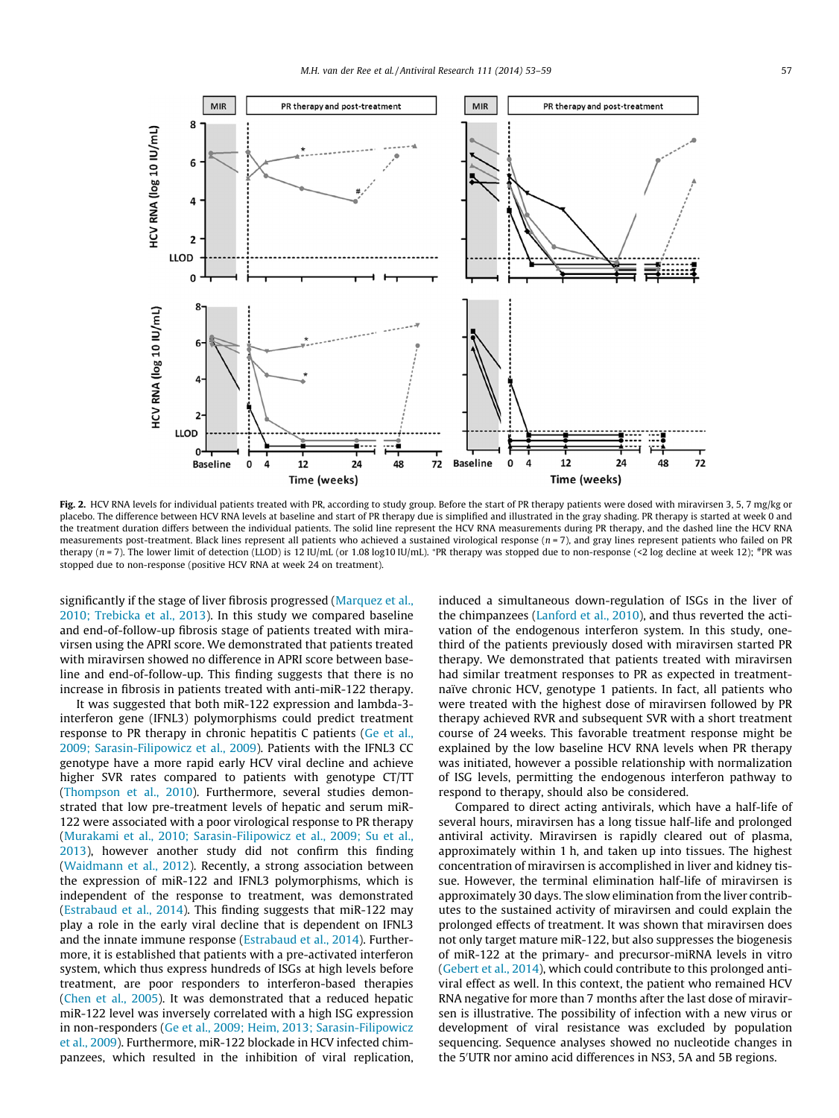<span id="page-4-0"></span>

Fig. 2. HCV RNA levels for individual patients treated with PR, according to study group. Before the start of PR therapy patients were dosed with miravirsen 3, 5, 7 mg/kg or placebo. The difference between HCV RNA levels at baseline and start of PR therapy due is simplified and illustrated in the gray shading. PR therapy is started at week 0 and the treatment duration differs between the individual patients. The solid line represent the HCV RNA measurements during PR therapy, and the dashed line the HCV RNA measurements post-treatment. Black lines represent all patients who achieved a sustained virological response  $(n = 7)$ , and gray lines represent patients who failed on PR therapy (n = 7). The lower limit of detection (LLOD) is 12 IU/mL (or 1.08 log10 IU/mL). \*PR therapy was stopped due to non-response (<2 log decline at week 12); \*PR was stopped due to non-response (positive HCV RNA at week 24 on treatment).

significantly if the stage of liver fibrosis progressed [\(Marquez et al.,](#page-5-0) [2010; Trebicka et al., 2013](#page-5-0)). In this study we compared baseline and end-of-follow-up fibrosis stage of patients treated with miravirsen using the APRI score. We demonstrated that patients treated with miravirsen showed no difference in APRI score between baseline and end-of-follow-up. This finding suggests that there is no increase in fibrosis in patients treated with anti-miR-122 therapy.

It was suggested that both miR-122 expression and lambda-3 interferon gene (IFNL3) polymorphisms could predict treatment response to PR therapy in chronic hepatitis C patients [\(Ge et al.,](#page-5-0) [2009; Sarasin-Filipowicz et al., 2009](#page-5-0)). Patients with the IFNL3 CC genotype have a more rapid early HCV viral decline and achieve higher SVR rates compared to patients with genotype CT/TT ([Thompson et al., 2010\)](#page-5-0). Furthermore, several studies demonstrated that low pre-treatment levels of hepatic and serum miR-122 were associated with a poor virological response to PR therapy ([Murakami et al., 2010; Sarasin-Filipowicz et al., 2009; Su et al.,](#page-5-0) [2013\)](#page-5-0), however another study did not confirm this finding ([Waidmann et al., 2012\)](#page-6-0). Recently, a strong association between the expression of miR-122 and IFNL3 polymorphisms, which is independent of the response to treatment, was demonstrated ([Estrabaud et al., 2014](#page-5-0)). This finding suggests that miR-122 may play a role in the early viral decline that is dependent on IFNL3 and the innate immune response [\(Estrabaud et al., 2014\)](#page-5-0). Furthermore, it is established that patients with a pre-activated interferon system, which thus express hundreds of ISGs at high levels before treatment, are poor responders to interferon-based therapies ([Chen et al., 2005](#page-5-0)). It was demonstrated that a reduced hepatic miR-122 level was inversely correlated with a high ISG expression in non-responders [\(Ge et al., 2009; Heim, 2013; Sarasin-Filipowicz](#page-5-0) [et al., 2009](#page-5-0)). Furthermore, miR-122 blockade in HCV infected chimpanzees, which resulted in the inhibition of viral replication, induced a simultaneous down-regulation of ISGs in the liver of the chimpanzees ([Lanford et al., 2010\)](#page-5-0), and thus reverted the activation of the endogenous interferon system. In this study, onethird of the patients previously dosed with miravirsen started PR therapy. We demonstrated that patients treated with miravirsen had similar treatment responses to PR as expected in treatmentnaïve chronic HCV, genotype 1 patients. In fact, all patients who were treated with the highest dose of miravirsen followed by PR therapy achieved RVR and subsequent SVR with a short treatment course of 24 weeks. This favorable treatment response might be explained by the low baseline HCV RNA levels when PR therapy was initiated, however a possible relationship with normalization of ISG levels, permitting the endogenous interferon pathway to respond to therapy, should also be considered.

Compared to direct acting antivirals, which have a half-life of several hours, miravirsen has a long tissue half-life and prolonged antiviral activity. Miravirsen is rapidly cleared out of plasma, approximately within 1 h, and taken up into tissues. The highest concentration of miravirsen is accomplished in liver and kidney tissue. However, the terminal elimination half-life of miravirsen is approximately 30 days. The slow elimination from the liver contributes to the sustained activity of miravirsen and could explain the prolonged effects of treatment. It was shown that miravirsen does not only target mature miR-122, but also suppresses the biogenesis of miR-122 at the primary- and precursor-miRNA levels in vitro ([Gebert et al., 2014\)](#page-5-0), which could contribute to this prolonged antiviral effect as well. In this context, the patient who remained HCV RNA negative for more than 7 months after the last dose of miravirsen is illustrative. The possibility of infection with a new virus or development of viral resistance was excluded by population sequencing. Sequence analyses showed no nucleotide changes in the 5'UTR nor amino acid differences in NS3, 5A and 5B regions.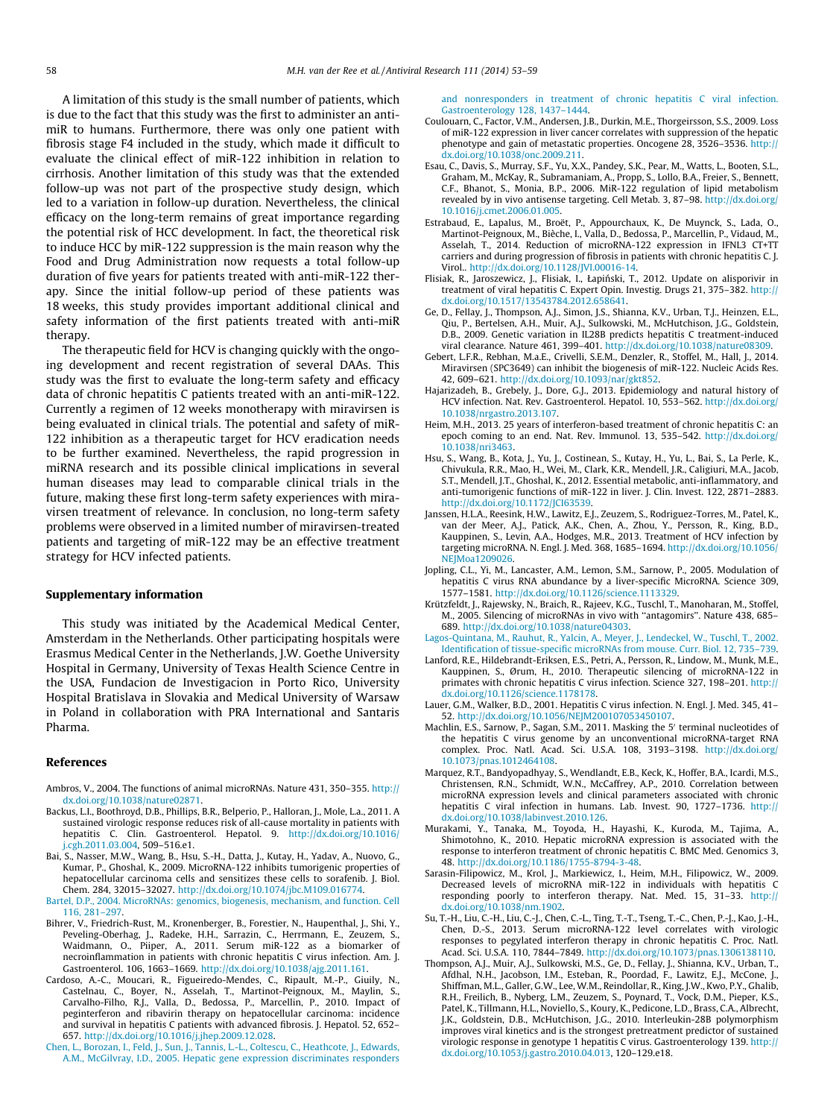<span id="page-5-0"></span>A limitation of this study is the small number of patients, which is due to the fact that this study was the first to administer an antimiR to humans. Furthermore, there was only one patient with fibrosis stage F4 included in the study, which made it difficult to evaluate the clinical effect of miR-122 inhibition in relation to cirrhosis. Another limitation of this study was that the extended follow-up was not part of the prospective study design, which led to a variation in follow-up duration. Nevertheless, the clinical efficacy on the long-term remains of great importance regarding the potential risk of HCC development. In fact, the theoretical risk to induce HCC by miR-122 suppression is the main reason why the Food and Drug Administration now requests a total follow-up duration of five years for patients treated with anti-miR-122 therapy. Since the initial follow-up period of these patients was 18 weeks, this study provides important additional clinical and safety information of the first patients treated with anti-miR therapy.

The therapeutic field for HCV is changing quickly with the ongoing development and recent registration of several DAAs. This study was the first to evaluate the long-term safety and efficacy data of chronic hepatitis C patients treated with an anti-miR-122. Currently a regimen of 12 weeks monotherapy with miravirsen is being evaluated in clinical trials. The potential and safety of miR-122 inhibition as a therapeutic target for HCV eradication needs to be further examined. Nevertheless, the rapid progression in miRNA research and its possible clinical implications in several human diseases may lead to comparable clinical trials in the future, making these first long-term safety experiences with miravirsen treatment of relevance. In conclusion, no long-term safety problems were observed in a limited number of miravirsen-treated patients and targeting of miR-122 may be an effective treatment strategy for HCV infected patients.

## Supplementary information

This study was initiated by the Academical Medical Center, Amsterdam in the Netherlands. Other participating hospitals were Erasmus Medical Center in the Netherlands, J.W. Goethe University Hospital in Germany, University of Texas Health Science Centre in the USA, Fundacion de Investigacion in Porto Rico, University Hospital Bratislava in Slovakia and Medical University of Warsaw in Poland in collaboration with PRA International and Santaris Pharma.

#### References

- Ambros, V., 2004. The functions of animal microRNAs. Nature 431, 350–355. [http://](http://dx.doi.org/10.1038/nature02871) [dx.doi.org/10.1038/nature02871.](http://dx.doi.org/10.1038/nature02871)
- Backus, L.I., Boothroyd, D.B., Phillips, B.R., Belperio, P., Halloran, J., Mole, L.a., 2011. A sustained virologic response reduces risk of all-cause mortality in patients with hepatitis C. Clin. Gastroenterol. Hepatol. 9. [http://dx.doi.org/10.1016/](http://dx.doi.org/10.1016/j.cgh.2011.03.004) [j.cgh.2011.03.004,](http://dx.doi.org/10.1016/j.cgh.2011.03.004) 509–516.e1.
- Bai, S., Nasser, M.W., Wang, B., Hsu, S.-H., Datta, J., Kutay, H., Yadav, A., Nuovo, G., Kumar, P., Ghoshal, K., 2009. MicroRNA-122 inhibits tumorigenic properties of hepatocellular carcinoma cells and sensitizes these cells to sorafenib. J. Biol. Chem. 284, 32015–32027. [http://dx.doi.org/10.1074/jbc.M109.016774.](http://dx.doi.org/10.1074/jbc.M109.016774)
- [Bartel, D.P., 2004. MicroRNAs: genomics, biogenesis, mechanism, and function. Cell](http://refhub.elsevier.com/S0166-3542(14)00252-6/h0020) [116, 281–297](http://refhub.elsevier.com/S0166-3542(14)00252-6/h0020).
- Bihrer, V., Friedrich-Rust, M., Kronenberger, B., Forestier, N., Haupenthal, J., Shi, Y., Peveling-Oberhag, J., Radeke, H.H., Sarrazin, C., Herrmann, E., Zeuzem, S., Waidmann, O., Piiper, A., 2011. Serum miR-122 as a biomarker of necroinflammation in patients with chronic hepatitis C virus infection. Am. J. Gastroenterol. 106, 1663–1669. <http://dx.doi.org/10.1038/ajg.2011.161>.
- Cardoso, A.-C., Moucari, R., Figueiredo-Mendes, C., Ripault, M.-P., Giuily, N., Castelnau, C., Boyer, N., Asselah, T., Martinot-Peignoux, M., Maylin, S., Carvalho-Filho, R.J., Valla, D., Bedossa, P., Marcellin, P., 2010. Impact of peginterferon and ribavirin therapy on hepatocellular carcinoma: incidence and survival in hepatitis C patients with advanced fibrosis. J. Hepatol. 52, 652– 657. <http://dx.doi.org/10.1016/j.jhep.2009.12.028>.
- [Chen, L., Borozan, I., Feld, J., Sun, J., Tannis, L.-L., Coltescu, C., Heathcote, J., Edwards,](http://refhub.elsevier.com/S0166-3542(14)00252-6/h0035) [A.M., McGilvray, I.D., 2005. Hepatic gene expression discriminates responders](http://refhub.elsevier.com/S0166-3542(14)00252-6/h0035)

[and nonresponders in treatment of chronic hepatitis C viral infection.](http://refhub.elsevier.com/S0166-3542(14)00252-6/h0035) [Gastroenterology 128, 1437–1444](http://refhub.elsevier.com/S0166-3542(14)00252-6/h0035).

- Coulouarn, C., Factor, V.M., Andersen, J.B., Durkin, M.E., Thorgeirsson, S.S., 2009. Loss of miR-122 expression in liver cancer correlates with suppression of the hepatic phenotype and gain of metastatic properties. Oncogene 28, 3526–3536. [http://](http://dx.doi.org/10.1038/onc.2009.211) [dx.doi.org/10.1038/onc.2009.211](http://dx.doi.org/10.1038/onc.2009.211).
- Esau, C., Davis, S., Murray, S.F., Yu, X.X., Pandey, S.K., Pear, M., Watts, L., Booten, S.L., Graham, M., McKay, R., Subramaniam, A., Propp, S., Lollo, B.A., Freier, S., Bennett, C.F., Bhanot, S., Monia, B.P., 2006. MiR-122 regulation of lipid metabolism revealed by in vivo antisense targeting. Cell Metab. 3, 87–98. [http://dx.doi.org/](http://dx.doi.org/10.1016/j.cmet.2006.01.005) [10.1016/j.cmet.2006.01.005.](http://dx.doi.org/10.1016/j.cmet.2006.01.005)
- Estrabaud, E., Lapalus, M., Broët, P., Appourchaux, K., De Muynck, S., Lada, O., Martinot-Peignoux, M., Bièche, I., Valla, D., Bedossa, P., Marcellin, P., Vidaud, M., Asselah, T., 2014. Reduction of microRNA-122 expression in IFNL3 CT+TT carriers and during progression of fibrosis in patients with chronic hepatitis C. J. Virol.. [http://dx.doi.org/10.1128/JVI.00016-14.](http://dx.doi.org/10.1128/JVI.00016-14)
- Flisiak, R., Jaroszewicz, J., Flisiak, I., Łapiński, T., 2012. Update on alisporivir in treatment of viral hepatitis C. Expert Opin. Investig. Drugs 21, 375–382. [http://](http://dx.doi.org/10.1517/13543784.2012.658641) [dx.doi.org/10.1517/13543784.2012.658641.](http://dx.doi.org/10.1517/13543784.2012.658641)
- Ge, D., Fellay, J., Thompson, A.J., Simon, J.S., Shianna, K.V., Urban, T.J., Heinzen, E.L., Qiu, P., Bertelsen, A.H., Muir, A.J., Sulkowski, M., McHutchison, J.G., Goldstein, D.B., 2009. Genetic variation in IL28B predicts hepatitis C treatment-induced viral clearance. Nature 461, 399–401. <http://dx.doi.org/10.1038/nature08309>.
- Gebert, L.F.R., Rebhan, M.a.E., Crivelli, S.E.M., Denzler, R., Stoffel, M., Hall, J., 2014. Miravirsen (SPC3649) can inhibit the biogenesis of miR-122. Nucleic Acids Res. 42, 609–621. <http://dx.doi.org/10.1093/nar/gkt852>.
- Hajarizadeh, B., Grebely, J., Dore, G.J., 2013. Epidemiology and natural history of HCV infection. Nat. Rev. Gastroenterol. Hepatol. 10, 553–562. [http://dx.doi.org/](http://dx.doi.org/10.1038/nrgastro.2013.107) [10.1038/nrgastro.2013.107](http://dx.doi.org/10.1038/nrgastro.2013.107).
- Heim, M.H., 2013. 25 years of interferon-based treatment of chronic hepatitis C: an epoch coming to an end. Nat. Rev. Immunol. 13, 535–542. [http://dx.doi.org/](http://dx.doi.org/10.1038/nri3463) [10.1038/nri3463](http://dx.doi.org/10.1038/nri3463).
- Hsu, S., Wang, B., Kota, J., Yu, J., Costinean, S., Kutay, H., Yu, L., Bai, S., La Perle, K., Chivukula, R.R., Mao, H., Wei, M., Clark, K.R., Mendell, J.R., Caligiuri, M.A., Jacob, S.T., Mendell, J.T., Ghoshal, K., 2012. Essential metabolic, anti-inflammatory, and anti-tumorigenic functions of miR-122 in liver. J. Clin. Invest. 122, 2871–2883. [http://dx.doi.org/10.1172/JCI63539.](http://dx.doi.org/10.1172/JCI63539)
- Janssen, H.L.A., Reesink, H.W., Lawitz, E.J., Zeuzem, S., Rodriguez-Torres, M., Patel, K., van der Meer, A.J., Patick, A.K., Chen, A., Zhou, Y., Persson, R., King, B.D., Kauppinen, S., Levin, A.A., Hodges, M.R., 2013. Treatment of HCV infection by targeting microRNA. N. Engl. J. Med. 368, 1685–1694. [http://dx.doi.org/10.1056/](http://dx.doi.org/10.1056/NEJMoa1209026) [NEJMoa1209026](http://dx.doi.org/10.1056/NEJMoa1209026).
- Jopling, C.L., Yi, M., Lancaster, A.M., Lemon, S.M., Sarnow, P., 2005. Modulation of hepatitis C virus RNA abundance by a liver-specific MicroRNA. Science 309, 1577–1581. [http://dx.doi.org/10.1126/science.1113329.](http://dx.doi.org/10.1126/science.1113329)
- Krützfeldt, J., Rajewsky, N., Braich, R., Rajeev, K.G., Tuschl, T., Manoharan, M., Stoffel, M., 2005. Silencing of microRNAs in vivo with ''antagomirs''. Nature 438, 685– 689. <http://dx.doi.org/10.1038/nature04303>.
- [Lagos-Quintana, M., Rauhut, R., Yalcin, A., Meyer, J., Lendeckel, W., Tuschl, T., 2002.](http://refhub.elsevier.com/S0166-3542(14)00252-6/h0100) [Identification of tissue-specific microRNAs from mouse. Curr. Biol. 12, 735–739](http://refhub.elsevier.com/S0166-3542(14)00252-6/h0100).
- Lanford, R.E., Hildebrandt-Eriksen, E.S., Petri, A., Persson, R., Lindow, M., Munk, M.E., Kauppinen, S., Ørum, H., 2010. Therapeutic silencing of microRNA-122 in primates with chronic hepatitis C virus infection. Science 327, 198–201. [http://](http://dx.doi.org/10.1126/science.1178178) [dx.doi.org/10.1126/science.1178178.](http://dx.doi.org/10.1126/science.1178178)
- Lauer, G.M., Walker, B.D., 2001. Hepatitis C virus infection. N. Engl. J. Med. 345, 41– 52. <http://dx.doi.org/10.1056/NEJM200107053450107>.
- Machlin, E.S., Sarnow, P., Sagan, S.M., 2011. Masking the 5' terminal nucleotides of the hepatitis C virus genome by an unconventional microRNA-target RNA complex. Proc. Natl. Acad. Sci. U.S.A. 108, 3193–3198. [http://dx.doi.org/](http://dx.doi.org/10.1073/pnas.1012464108) [10.1073/pnas.1012464108](http://dx.doi.org/10.1073/pnas.1012464108).
- Marquez, R.T., Bandyopadhyay, S., Wendlandt, E.B., Keck, K., Hoffer, B.A., Icardi, M.S., Christensen, R.N., Schmidt, W.N., McCaffrey, A.P., 2010. Correlation between microRNA expression levels and clinical parameters associated with chronic hepatitis C viral infection in humans. Lab. Invest. 90, 1727–1736. [http://](http://dx.doi.org/10.1038/labinvest.2010.126) [dx.doi.org/10.1038/labinvest.2010.126.](http://dx.doi.org/10.1038/labinvest.2010.126)
- Murakami, Y., Tanaka, M., Toyoda, H., Hayashi, K., Kuroda, M., Tajima, A., Shimotohno, K., 2010. Hepatic microRNA expression is associated with the response to interferon treatment of chronic hepatitis C. BMC Med. Genomics 3, 48. [http://dx.doi.org/10.1186/1755-8794-3-48.](http://dx.doi.org/10.1186/1755-8794-3-48)
- Sarasin-Filipowicz, M., Krol, J., Markiewicz, I., Heim, M.H., Filipowicz, W., 2009. Decreased levels of microRNA miR-122 in individuals with hepatitis C responding poorly to interferon therapy. Nat. Med. 15, 31–33. [http://](http://dx.doi.org/10.1038/nm.1902) [dx.doi.org/10.1038/nm.1902](http://dx.doi.org/10.1038/nm.1902).
- Su, T.-H., Liu, C.-H., Liu, C.-J., Chen, C.-L., Ting, T.-T., Tseng, T.-C., Chen, P.-J., Kao, J.-H., Chen, D.-S., 2013. Serum microRNA-122 level correlates with virologic responses to pegylated interferon therapy in chronic hepatitis C. Proc. Natl. Acad. Sci. U.S.A. 110, 7844–7849. <http://dx.doi.org/10.1073/pnas.1306138110>.
- Thompson, A.J., Muir, A.J., Sulkowski, M.S., Ge, D., Fellay, J., Shianna, K.V., Urban, T., Afdhal, N.H., Jacobson, I.M., Esteban, R., Poordad, F., Lawitz, E.J., McCone, J., Shiffman, M.L., Galler, G.W., Lee, W.M., Reindollar, R., King, J.W., Kwo, P.Y., Ghalib, R.H., Freilich, B., Nyberg, L.M., Zeuzem, S., Poynard, T., Vock, D.M., Pieper, K.S., Patel, K., Tillmann, H.L., Noviello, S., Koury, K., Pedicone, L.D., Brass, C.A., Albrecht, J.K., Goldstein, D.B., McHutchison, J.G., 2010. Interleukin-28B polymorphism improves viral kinetics and is the strongest pretreatment predictor of sustained virologic response in genotype 1 hepatitis C virus. Gastroenterology 139. [http://](http://dx.doi.org/10.1053/j.gastro.2010.04.013) [dx.doi.org/10.1053/j.gastro.2010.04.013,](http://dx.doi.org/10.1053/j.gastro.2010.04.013) 120–129.e18.